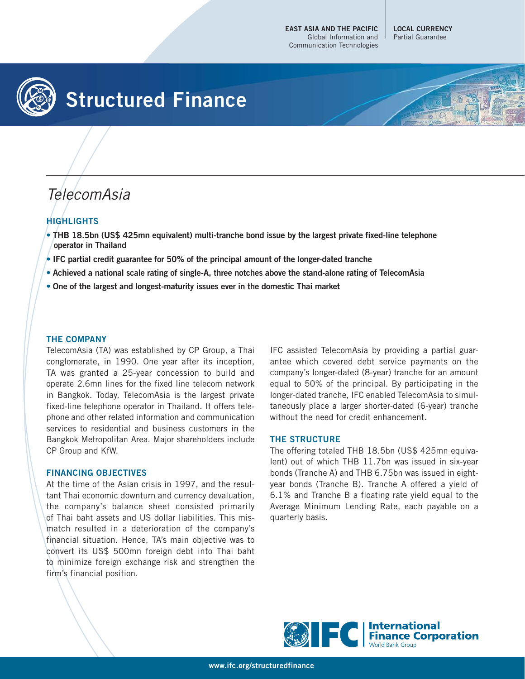**EAST ASIA AND THE PACIFIC** Global Information and Communication Technologies

**LOCAL CURRENCY** Partial Guarantee



## **Structured Finance**



# TelecomAsia

### **HIGHLIGHTS**

- **THB 18.5bn (US\$ 425mn equivalent) multi-tranche bond issue by the largest private fixed-line telephone operator in Thailand**
- **IFC partial credit guarantee for 50% of the principal amount of the longer-dated tranche**
- **Achieved a national scale rating of single-A, three notches above the stand-alone rating of TelecomAsia**
- **One of the largest and longest-maturity issues ever in the domestic Thai market**

#### **THE COMPANY**

TelecomAsia (TA) was established by CP Group, a Thai conglomerate, in 1990. One year after its inception, TA was granted a 25-year concession to build and operate 2.6mn lines for the fixed line telecom network in Bangkok. Today, TelecomAsia is the largest private fixed-line telephone operator in Thailand. It offers telephone and other related information and communication services to residential and business customers in the Bangkok Metropolitan Area. Major shareholders include CP Group and KfW.

#### **FINANCING OBJECTIVES**

At the time of the Asian crisis in 1997, and the resultant Thai economic downturn and currency devaluation, the company's balance sheet consisted primarily of Thai baht assets and US dollar liabilities. This mismatch resulted in a deterioration of the company's financial situation. Hence, TA's main objective was to convert its US\$ 500mn foreign debt into Thai baht to minimize foreign exchange risk and strengthen the firm's financial position.

IFC assisted TelecomAsia by providing a partial guarantee which covered debt service payments on the company's longer-dated (8-year) tranche for an amount equal to 50% of the principal. By participating in the longer-dated tranche, IFC enabled TelecomAsia to simultaneously place a larger shorter-dated (6-year) tranche without the need for credit enhancement.

#### **THE STRUCTURE**

The offering totaled THB 18.5bn (US\$ 425mn equivalent) out of which THB 11.7bn was issued in six-year bonds (Tranche A) and THB 6.75bn was issued in eightyear bonds (Tranche B). Tranche A offered a yield of 6.1% and Tranche B a floating rate yield equal to the Average Minimum Lending Rate, each payable on a quarterly basis.